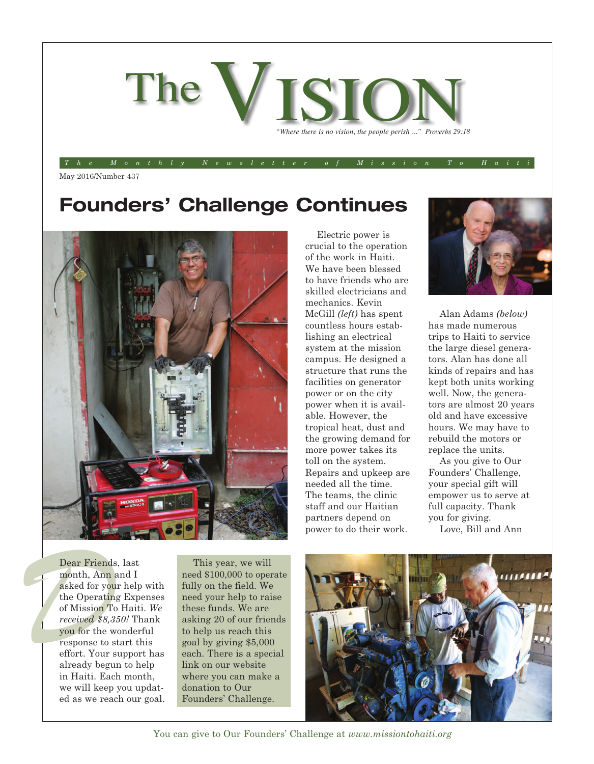

The Monthly Newsletter of Mission To Hait

May 2016/Number 437

## **Founders' Challenge Continues**



Electric power is crucial to the operation of the work in Haiti. We have been blessed to have friends who are skilled electricians and mechanics. Kevin McGill *(left)* has spent countless hours establishing an electrical system at the mission campus. He designed a structure that runs the facilities on generator power or on the city power when it is available. However, the tropical heat, dust and the growing demand for more power takes its toll on the system. Repairs and upkeep are needed all the time. The teams, the clinic staff and our Haitian partners depend on power to do their work.



Alan Adams *(below)* has made numerous trips to Haiti to service the large diesel generators. Alan has done all kinds of repairs and has kept both units working well. Now, the generators are almost 20 years old and have excessive hours. We may have to rebuild the motors or replace the units.

As you give to Our Founders' Challenge, your special gift will empower us to serve at full capacity. Thank you for giving.

Love, Bill and Ann

Dear Friends<br>
month, Ann :<br>
asked for you<br>
the Operatin<br>
of Mission To<br>
received \$8,3<br>
you for the w Dear Friends, last month, Ann and I asked for your help with the Operating Expenses of Mission To Haiti. *We received \$8,350!* Thank you for the wonderful response to start this effort. Your support has already begun to help in Haiti. Each month, we will keep you updated as we reach our goal.

This year, we will need \$100,000 to operate fully on the field. We need your help to raise these funds. We are asking 20 of our friends to help us reach this goal by giving \$5,000 each. There is a special link on our website where you can make a donation to Our Founders' Challenge.



You can give to Our Founders' Challenge at *www.missiontohaiti.org*